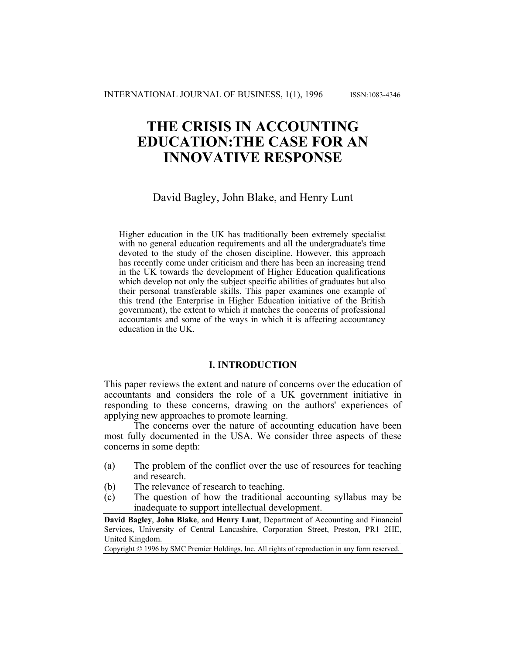# **THE CRISIS IN ACCOUNTING EDUCATION:THE CASE FOR AN INNOVATIVE RESPONSE**

# David Bagley, John Blake, and Henry Lunt

Higher education in the UK has traditionally been extremely specialist with no general education requirements and all the undergraduate's time devoted to the study of the chosen discipline. However, this approach has recently come under criticism and there has been an increasing trend in the UK towards the development of Higher Education qualifications which develop not only the subject specific abilities of graduates but also their personal transferable skills. This paper examines one example of this trend (the Enterprise in Higher Education initiative of the British government), the extent to which it matches the concerns of professional accountants and some of the ways in which it is affecting accountancy education in the UK.

## **I. INTRODUCTION**

This paper reviews the extent and nature of concerns over the education of accountants and considers the role of a UK government initiative in responding to these concerns, drawing on the authors' experiences of applying new approaches to promote learning.

The concerns over the nature of accounting education have been most fully documented in the USA. We consider three aspects of these concerns in some depth:

- (a) The problem of the conflict over the use of resources for teaching and research.
- (b) The relevance of research to teaching.
- (c) The question of how the traditional accounting syllabus may be inadequate to support intellectual development.

**David Bagley**, **John Blake**, and **Henry Lunt**, Department of Accounting and Financial Services, University of Central Lancashire, Corporation Street, Preston, PR1 2HE, United Kingdom.

Copyright © 1996 by SMC Premier Holdings, Inc. All rights of reproduction in any form reserved.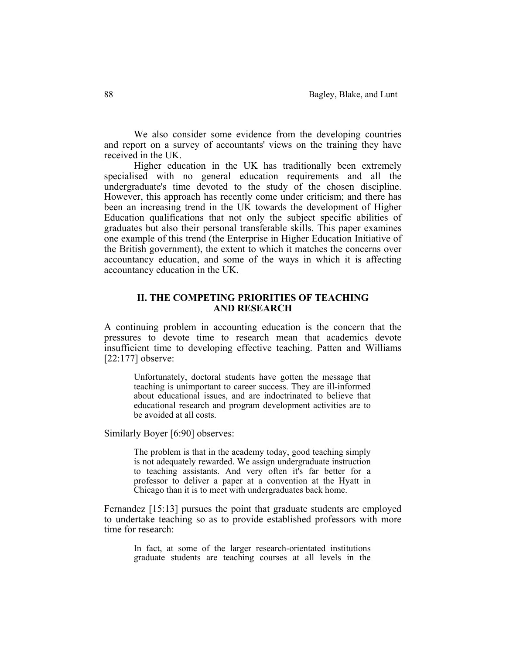We also consider some evidence from the developing countries and report on a survey of accountants' views on the training they have received in the UK.

 Higher education in the UK has traditionally been extremely specialised with no general education requirements and all the undergraduate's time devoted to the study of the chosen discipline. However, this approach has recently come under criticism; and there has been an increasing trend in the UK towards the development of Higher Education qualifications that not only the subject specific abilities of graduates but also their personal transferable skills. This paper examines one example of this trend (the Enterprise in Higher Education Initiative of the British government), the extent to which it matches the concerns over accountancy education, and some of the ways in which it is affecting accountancy education in the UK.

## **II. THE COMPETING PRIORITIES OF TEACHING AND RESEARCH**

A continuing problem in accounting education is the concern that the pressures to devote time to research mean that academics devote insufficient time to developing effective teaching. Patten and Williams [22:177] observe:

 Unfortunately, doctoral students have gotten the message that teaching is unimportant to career success. They are ill-informed about educational issues, and are indoctrinated to believe that educational research and program development activities are to be avoided at all costs.

Similarly Boyer [6:90] observes:

The problem is that in the academy today, good teaching simply is not adequately rewarded. We assign undergraduate instruction to teaching assistants. And very often it's far better for a professor to deliver a paper at a convention at the Hyatt in Chicago than it is to meet with undergraduates back home.

Fernandez [15:13] pursues the point that graduate students are employed to undertake teaching so as to provide established professors with more time for research:

In fact, at some of the larger research-orientated institutions graduate students are teaching courses at all levels in the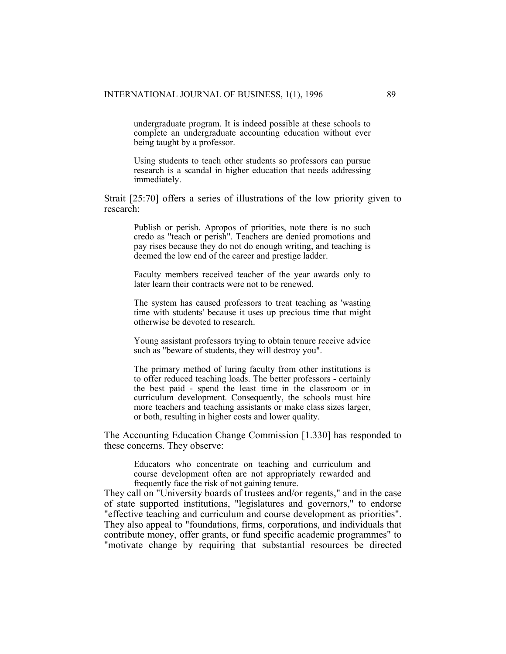undergraduate program. It is indeed possible at these schools to complete an undergraduate accounting education without ever being taught by a professor.

Using students to teach other students so professors can pursue research is a scandal in higher education that needs addressing immediately.

Strait [25:70] offers a series of illustrations of the low priority given to research:

Publish or perish. Apropos of priorities, note there is no such credo as "teach or perish". Teachers are denied promotions and pay rises because they do not do enough writing, and teaching is deemed the low end of the career and prestige ladder.

 Faculty members received teacher of the year awards only to later learn their contracts were not to be renewed.

 The system has caused professors to treat teaching as 'wasting time with students' because it uses up precious time that might otherwise be devoted to research.

 Young assistant professors trying to obtain tenure receive advice such as "beware of students, they will destroy you".

 The primary method of luring faculty from other institutions is to offer reduced teaching loads. The better professors - certainly the best paid - spend the least time in the classroom or in curriculum development. Consequently, the schools must hire more teachers and teaching assistants or make class sizes larger, or both, resulting in higher costs and lower quality.

The Accounting Education Change Commission [1.330] has responded to these concerns. They observe:

Educators who concentrate on teaching and curriculum and course development often are not appropriately rewarded and frequently face the risk of not gaining tenure.

They call on "University boards of trustees and/or regents," and in the case of state supported institutions, "legislatures and governors," to endorse "effective teaching and curriculum and course development as priorities". They also appeal to "foundations, firms, corporations, and individuals that contribute money, offer grants, or fund specific academic programmes" to "motivate change by requiring that substantial resources be directed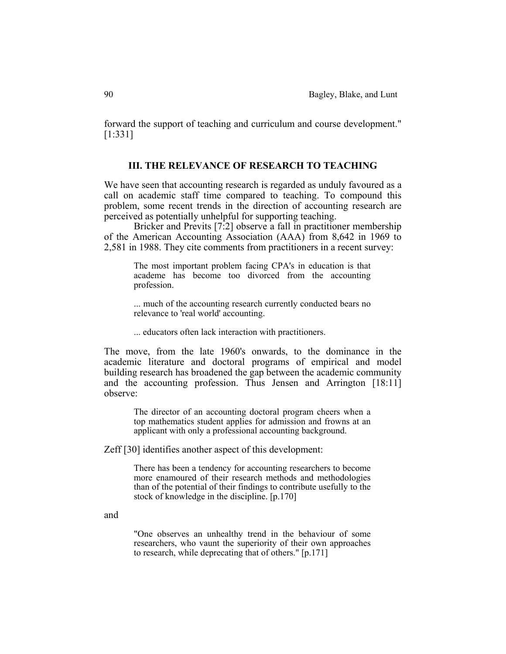forward the support of teaching and curriculum and course development." [1:331]

## **III. THE RELEVANCE OF RESEARCH TO TEACHING**

We have seen that accounting research is regarded as unduly favoured as a call on academic staff time compared to teaching. To compound this problem, some recent trends in the direction of accounting research are perceived as potentially unhelpful for supporting teaching.

 Bricker and Previts [7:2] observe a fall in practitioner membership of the American Accounting Association (AAA) from 8,642 in 1969 to 2,581 in 1988. They cite comments from practitioners in a recent survey:

The most important problem facing CPA's in education is that academe has become too divorced from the accounting profession.

 ... much of the accounting research currently conducted bears no relevance to 'real world' accounting.

... educators often lack interaction with practitioners.

The move, from the late 1960's onwards, to the dominance in the academic literature and doctoral programs of empirical and model building research has broadened the gap between the academic community and the accounting profession. Thus Jensen and Arrington [18:11] observe:

The director of an accounting doctoral program cheers when a top mathematics student applies for admission and frowns at an applicant with only a professional accounting background.

Zeff [30] identifies another aspect of this development:

There has been a tendency for accounting researchers to become more enamoured of their research methods and methodologies than of the potential of their findings to contribute usefully to the stock of knowledge in the discipline. [p.170]

and

"One observes an unhealthy trend in the behaviour of some researchers, who vaunt the superiority of their own approaches to research, while deprecating that of others." [p.171]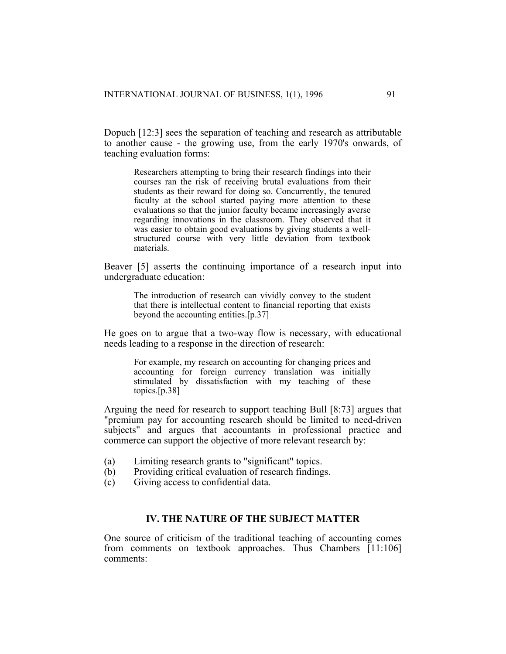Dopuch [12:3] sees the separation of teaching and research as attributable to another cause - the growing use, from the early 1970's onwards, of teaching evaluation forms:

Researchers attempting to bring their research findings into their courses ran the risk of receiving brutal evaluations from their students as their reward for doing so. Concurrently, the tenured faculty at the school started paying more attention to these evaluations so that the junior faculty became increasingly averse regarding innovations in the classroom. They observed that it was easier to obtain good evaluations by giving students a wellstructured course with very little deviation from textbook materials.

Beaver [5] asserts the continuing importance of a research input into undergraduate education:

The introduction of research can vividly convey to the student that there is intellectual content to financial reporting that exists beyond the accounting entities.[p.37]

He goes on to argue that a two-way flow is necessary, with educational needs leading to a response in the direction of research:

For example, my research on accounting for changing prices and accounting for foreign currency translation was initially stimulated by dissatisfaction with my teaching of these topics.[p.38]

Arguing the need for research to support teaching Bull [8:73] argues that "premium pay for accounting research should be limited to need-driven subjects" and argues that accountants in professional practice and commerce can support the objective of more relevant research by:

- (a) Limiting research grants to "significant" topics.
- (b) Providing critical evaluation of research findings.
- (c) Giving access to confidential data.

# **IV. THE NATURE OF THE SUBJECT MATTER**

One source of criticism of the traditional teaching of accounting comes from comments on textbook approaches. Thus Chambers [11:106] comments: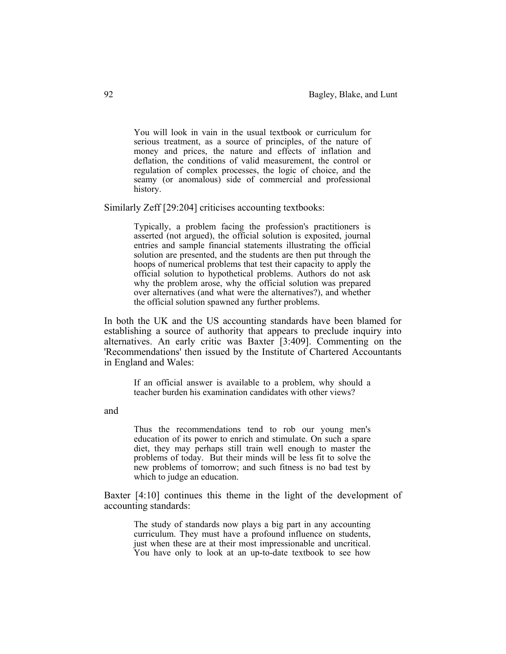You will look in vain in the usual textbook or curriculum for serious treatment, as a source of principles, of the nature of money and prices, the nature and effects of inflation and deflation, the conditions of valid measurement, the control or regulation of complex processes, the logic of choice, and the seamy (or anomalous) side of commercial and professional history.

Similarly Zeff [29:204] criticises accounting textbooks:

Typically, a problem facing the profession's practitioners is asserted (not argued), the official solution is exposited, journal entries and sample financial statements illustrating the official solution are presented, and the students are then put through the hoops of numerical problems that test their capacity to apply the official solution to hypothetical problems. Authors do not ask why the problem arose, why the official solution was prepared over alternatives (and what were the alternatives?), and whether the official solution spawned any further problems.

In both the UK and the US accounting standards have been blamed for establishing a source of authority that appears to preclude inquiry into alternatives. An early critic was Baxter [3:409]. Commenting on the 'Recommendations' then issued by the Institute of Chartered Accountants in England and Wales:

If an official answer is available to a problem, why should a teacher burden his examination candidates with other views?

and

Thus the recommendations tend to rob our young men's education of its power to enrich and stimulate. On such a spare diet, they may perhaps still train well enough to master the problems of today. But their minds will be less fit to solve the new problems of tomorrow; and such fitness is no bad test by which to judge an education.

Baxter [4:10] continues this theme in the light of the development of accounting standards:

The study of standards now plays a big part in any accounting curriculum. They must have a profound influence on students, just when these are at their most impressionable and uncritical. You have only to look at an up-to-date textbook to see how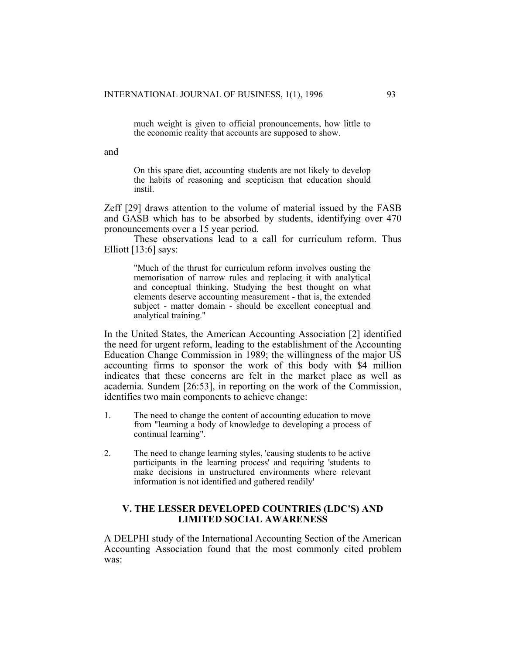much weight is given to official pronouncements, how little to the economic reality that accounts are supposed to show.

and

On this spare diet, accounting students are not likely to develop the habits of reasoning and scepticism that education should instil.

Zeff [29] draws attention to the volume of material issued by the FASB and GASB which has to be absorbed by students, identifying over 470 pronouncements over a 15 year period.

 These observations lead to a call for curriculum reform. Thus Elliott [13:6] says:

"Much of the thrust for curriculum reform involves ousting the memorisation of narrow rules and replacing it with analytical and conceptual thinking. Studying the best thought on what elements deserve accounting measurement - that is, the extended subject - matter domain - should be excellent conceptual and analytical training."

In the United States, the American Accounting Association [2] identified the need for urgent reform, leading to the establishment of the Accounting Education Change Commission in 1989; the willingness of the major US accounting firms to sponsor the work of this body with \$4 million indicates that these concerns are felt in the market place as well as academia. Sundem [26:53], in reporting on the work of the Commission, identifies two main components to achieve change:

- 1. The need to change the content of accounting education to move from "learning a body of knowledge to developing a process of continual learning".
- 2. The need to change learning styles, 'causing students to be active participants in the learning process' and requiring 'students to make decisions in unstructured environments where relevant information is not identified and gathered readily'

## **V. THE LESSER DEVELOPED COUNTRIES (LDC'S) AND LIMITED SOCIAL AWARENESS**

A DELPHI study of the International Accounting Section of the American Accounting Association found that the most commonly cited problem was: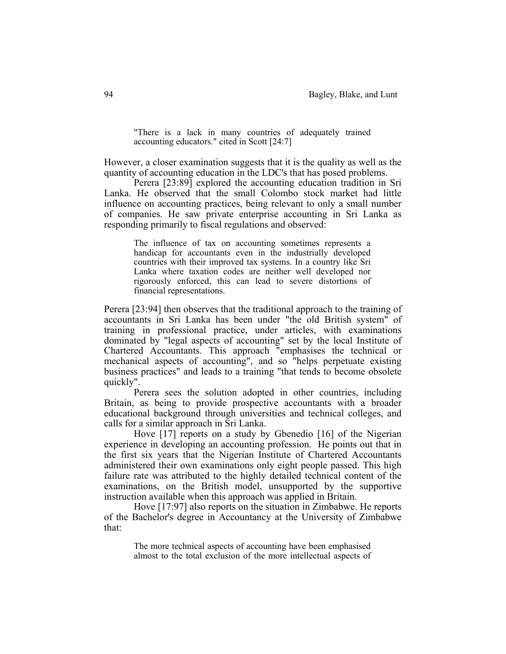"There is a lack in many countries of adequately trained accounting educators." cited in Scott [24:7]

However, a closer examination suggests that it is the quality as well as the quantity of accounting education in the LDC's that has posed problems.

 Perera [23:89] explored the accounting education tradition in Sri Lanka. He observed that the small Colombo stock market had little influence on accounting practices, being relevant to only a small number of companies. He saw private enterprise accounting in Sri Lanka as responding primarily to fiscal regulations and observed:

The influence of tax on accounting sometimes represents a handicap for accountants even in the industrially developed countries with their improved tax systems. In a country like Sri Lanka where taxation codes are neither well developed nor rigorously enforced, this can lead to severe distortions of financial representations.

Perera [23:94] then observes that the traditional approach to the training of accountants in Sri Lanka has been under "the old British system" of training in professional practice, under articles, with examinations dominated by "legal aspects of accounting" set by the local Institute of Chartered Accountants. This approach "emphasises the technical or mechanical aspects of accounting", and so "helps perpetuate existing business practices" and leads to a training "that tends to become obsolete quickly".

 Perera sees the solution adopted in other countries, including Britain, as being to provide prospective accountants with a broader educational background through universities and technical colleges, and calls for a similar approach in Sri Lanka.

 Hove [17] reports on a study by Gbenedio [16] of the Nigerian experience in developing an accounting profession. He points out that in the first six years that the Nigerian Institute of Chartered Accountants administered their own examinations only eight people passed. This high failure rate was attributed to the highly detailed technical content of the examinations, on the British model, unsupported by the supportive instruction available when this approach was applied in Britain.

 Hove [17:97] also reports on the situation in Zimbabwe. He reports of the Bachelor's degree in Accountancy at the University of Zimbabwe that:

The more technical aspects of accounting have been emphasised almost to the total exclusion of the more intellectual aspects of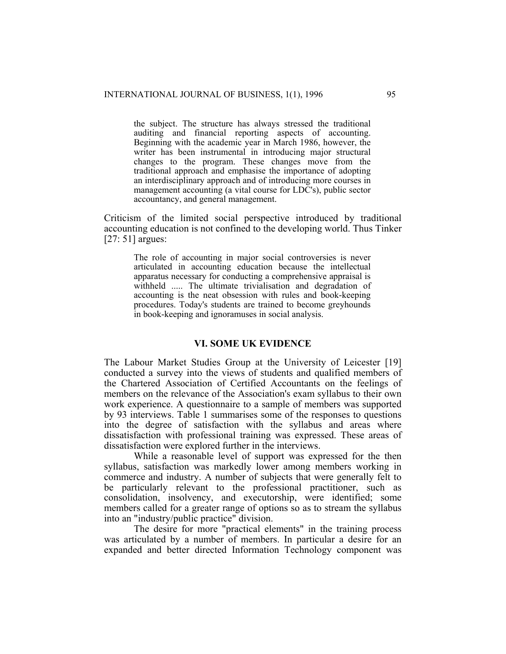the subject. The structure has always stressed the traditional auditing and financial reporting aspects of accounting. Beginning with the academic year in March 1986, however, the writer has been instrumental in introducing major structural changes to the program. These changes move from the traditional approach and emphasise the importance of adopting an interdisciplinary approach and of introducing more courses in management accounting (a vital course for LDC's), public sector accountancy, and general management.

Criticism of the limited social perspective introduced by traditional accounting education is not confined to the developing world. Thus Tinker [27: 51] argues:

The role of accounting in major social controversies is never articulated in accounting education because the intellectual apparatus necessary for conducting a comprehensive appraisal is withheld ..... The ultimate trivialisation and degradation of accounting is the neat obsession with rules and book-keeping procedures. Today's students are trained to become greyhounds in book-keeping and ignoramuses in social analysis.

#### **VI. SOME UK EVIDENCE**

The Labour Market Studies Group at the University of Leicester [19] conducted a survey into the views of students and qualified members of the Chartered Association of Certified Accountants on the feelings of members on the relevance of the Association's exam syllabus to their own work experience. A questionnaire to a sample of members was supported by 93 interviews. Table 1 summarises some of the responses to questions into the degree of satisfaction with the syllabus and areas where dissatisfaction with professional training was expressed. These areas of dissatisfaction were explored further in the interviews.

 While a reasonable level of support was expressed for the then syllabus, satisfaction was markedly lower among members working in commerce and industry. A number of subjects that were generally felt to be particularly relevant to the professional practitioner, such as consolidation, insolvency, and executorship, were identified; some members called for a greater range of options so as to stream the syllabus into an "industry/public practice" division.

 The desire for more "practical elements" in the training process was articulated by a number of members. In particular a desire for an expanded and better directed Information Technology component was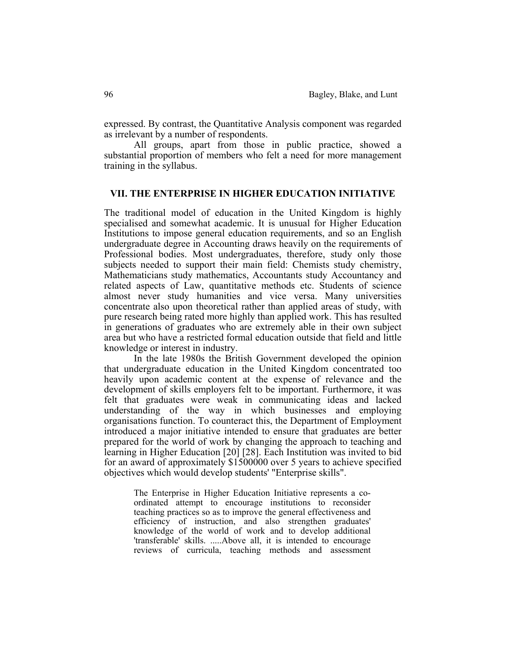expressed. By contrast, the Quantitative Analysis component was regarded as irrelevant by a number of respondents.

 All groups, apart from those in public practice, showed a substantial proportion of members who felt a need for more management training in the syllabus.

#### **VII. THE ENTERPRISE IN HIGHER EDUCATION INITIATIVE**

The traditional model of education in the United Kingdom is highly specialised and somewhat academic. It is unusual for Higher Education Institutions to impose general education requirements, and so an English undergraduate degree in Accounting draws heavily on the requirements of Professional bodies. Most undergraduates, therefore, study only those subjects needed to support their main field: Chemists study chemistry, Mathematicians study mathematics, Accountants study Accountancy and related aspects of Law, quantitative methods etc. Students of science almost never study humanities and vice versa. Many universities concentrate also upon theoretical rather than applied areas of study, with pure research being rated more highly than applied work. This has resulted in generations of graduates who are extremely able in their own subject area but who have a restricted formal education outside that field and little knowledge or interest in industry.

 In the late 1980s the British Government developed the opinion that undergraduate education in the United Kingdom concentrated too heavily upon academic content at the expense of relevance and the development of skills employers felt to be important. Furthermore, it was felt that graduates were weak in communicating ideas and lacked understanding of the way in which businesses and employing organisations function. To counteract this, the Department of Employment introduced a major initiative intended to ensure that graduates are better prepared for the world of work by changing the approach to teaching and learning in Higher Education [20] [28]. Each Institution was invited to bid for an award of approximately \$1500000 over 5 years to achieve specified objectives which would develop students' "Enterprise skills".

The Enterprise in Higher Education Initiative represents a coordinated attempt to encourage institutions to reconsider teaching practices so as to improve the general effectiveness and efficiency of instruction, and also strengthen graduates' knowledge of the world of work and to develop additional 'transferable' skills. .....Above all, it is intended to encourage reviews of curricula, teaching methods and assessment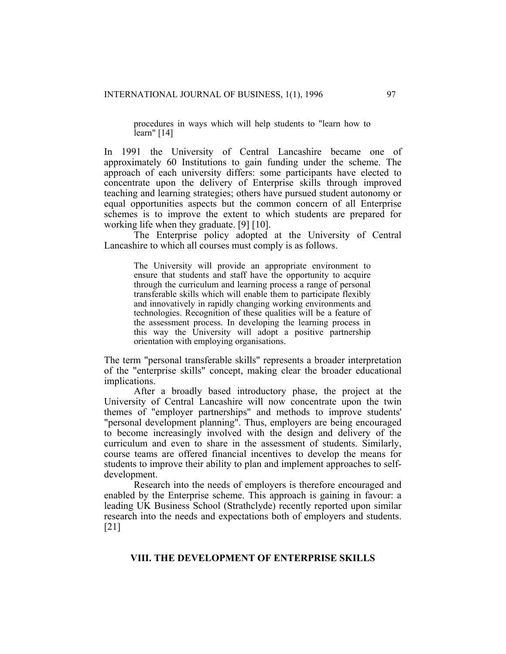procedures in ways which will help students to "learn how to learn" [14]

In 1991 the University of Central Lancashire became one of approximately 60 Institutions to gain funding under the scheme. The approach of each university differs: some participants have elected to concentrate upon the delivery of Enterprise skills through improved teaching and learning strategies; others have pursued student autonomy or equal opportunities aspects but the common concern of all Enterprise schemes is to improve the extent to which students are prepared for working life when they graduate. [9] [10].

 The Enterprise policy adopted at the University of Central Lancashire to which all courses must comply is as follows.

The University will provide an appropriate environment to ensure that students and staff have the opportunity to acquire through the curriculum and learning process a range of personal transferable skills which will enable them to participate flexibly and innovatively in rapidly changing working environments and technologies. Recognition of these qualities will be a feature of the assessment process. In developing the learning process in this way the University will adopt a positive partnership orientation with employing organisations.

The term "personal transferable skills" represents a broader interpretation of the "enterprise skills" concept, making clear the broader educational implications.

 After a broadly based introductory phase, the project at the University of Central Lancashire will now concentrate upon the twin themes of "employer partnerships" and methods to improve students' "personal development planning". Thus, employers are being encouraged to become increasingly involved with the design and delivery of the curriculum and even to share in the assessment of students. Similarly, course teams are offered financial incentives to develop the means for students to improve their ability to plan and implement approaches to selfdevelopment.

 Research into the needs of employers is therefore encouraged and enabled by the Enterprise scheme. This approach is gaining in favour: a leading UK Business School (Strathclyde) recently reported upon similar research into the needs and expectations both of employers and students. [21]

## **VIII. THE DEVELOPMENT OF ENTERPRISE SKILLS**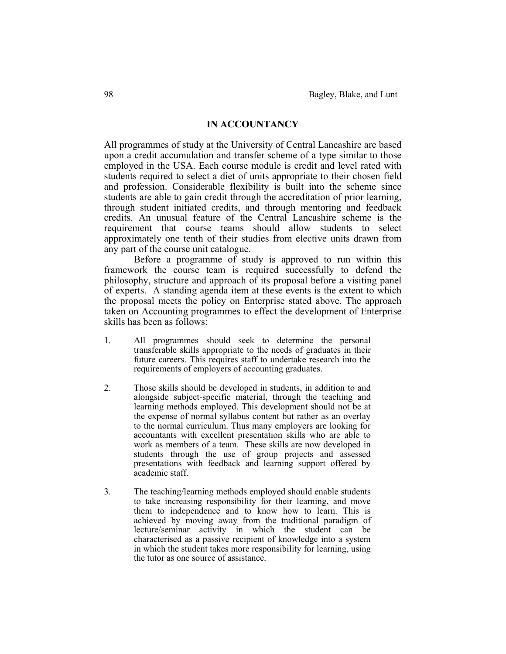#### **IN ACCOUNTANCY**

All programmes of study at the University of Central Lancashire are based upon a credit accumulation and transfer scheme of a type similar to those employed in the USA. Each course module is credit and level rated with students required to select a diet of units appropriate to their chosen field and profession. Considerable flexibility is built into the scheme since students are able to gain credit through the accreditation of prior learning, through student initiated credits, and through mentoring and feedback credits. An unusual feature of the Central Lancashire scheme is the requirement that course teams should allow students to select approximately one tenth of their studies from elective units drawn from any part of the course unit catalogue.

 Before a programme of study is approved to run within this framework the course team is required successfully to defend the philosophy, structure and approach of its proposal before a visiting panel of experts. A standing agenda item at these events is the extent to which the proposal meets the policy on Enterprise stated above. The approach taken on Accounting programmes to effect the development of Enterprise skills has been as follows:

- 1. All programmes should seek to determine the personal transferable skills appropriate to the needs of graduates in their future careers. This requires staff to undertake research into the requirements of employers of accounting graduates.
- 2. Those skills should be developed in students, in addition to and alongside subject-specific material, through the teaching and learning methods employed. This development should not be at the expense of normal syllabus content but rather as an overlay to the normal curriculum. Thus many employers are looking for accountants with excellent presentation skills who are able to work as members of a team. These skills are now developed in students through the use of group projects and assessed presentations with feedback and learning support offered by academic staff.
- 3. The teaching/learning methods employed should enable students to take increasing responsibility for their learning, and move them to independence and to know how to learn. This is achieved by moving away from the traditional paradigm of lecture/seminar activity in which the student can be characterised as a passive recipient of knowledge into a system in which the student takes more responsibility for learning, using the tutor as one source of assistance.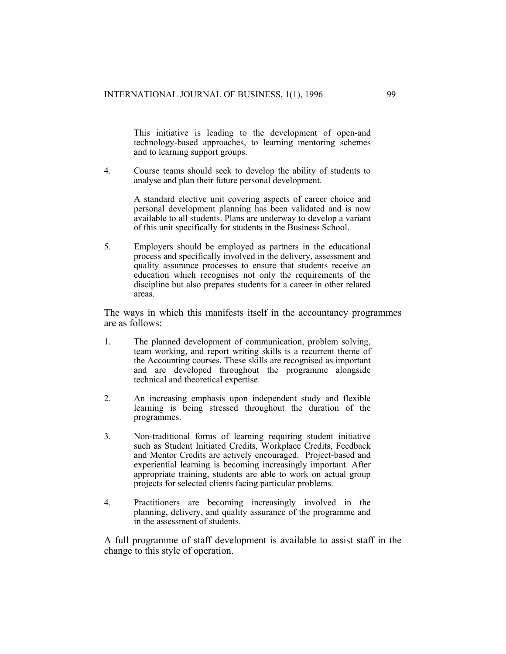This initiative is leading to the development of open-and technology-based approaches, to learning mentoring schemes and to learning support groups.

4. Course teams should seek to develop the ability of students to analyse and plan their future personal development.

> A standard elective unit covering aspects of career choice and personal development planning has been validated and is now available to all students. Plans are underway to develop a variant of this unit specifically for students in the Business School.

5. Employers should be employed as partners in the educational process and specifically involved in the delivery, assessment and quality assurance processes to ensure that students receive an education which recognises not only the requirements of the discipline but also prepares students for a career in other related areas.

The ways in which this manifests itself in the accountancy programmes are as follows:

- 1. The planned development of communication, problem solving, team working, and report writing skills is a recurrent theme of the Accounting courses. These skills are recognised as important and are developed throughout the programme alongside technical and theoretical expertise.
- 2. An increasing emphasis upon independent study and flexible learning is being stressed throughout the duration of the programmes.
- 3. Non-traditional forms of learning requiring student initiative such as Student Initiated Credits, Workplace Credits, Feedback and Mentor Credits are actively encouraged. Project-based and experiential learning is becoming increasingly important. After appropriate training, students are able to work on actual group projects for selected clients facing particular problems.
- 4. Practitioners are becoming increasingly involved in the planning, delivery, and quality assurance of the programme and in the assessment of students.

A full programme of staff development is available to assist staff in the change to this style of operation.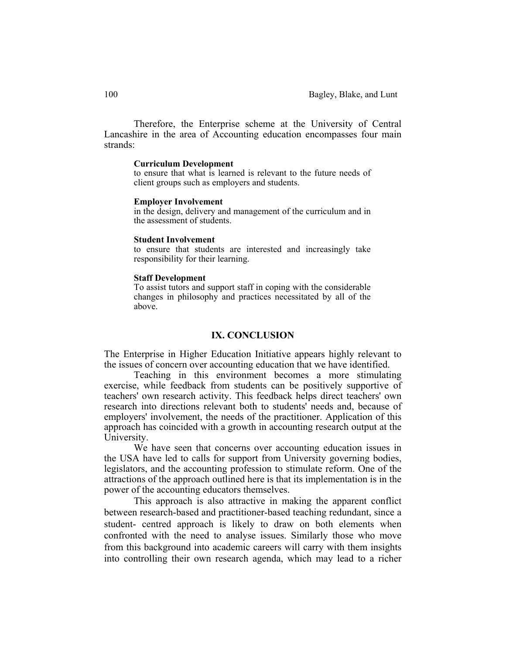Therefore, the Enterprise scheme at the University of Central Lancashire in the area of Accounting education encompasses four main strands:

#### **Curriculum Development**

 to ensure that what is learned is relevant to the future needs of client groups such as employers and students.

#### **Employer Involvement**

 in the design, delivery and management of the curriculum and in the assessment of students.

#### **Student Involvement**

 to ensure that students are interested and increasingly take responsibility for their learning.

#### **Staff Development**

 To assist tutors and support staff in coping with the considerable changes in philosophy and practices necessitated by all of the above.

#### **IX. CONCLUSION**

The Enterprise in Higher Education Initiative appears highly relevant to the issues of concern over accounting education that we have identified.

 Teaching in this environment becomes a more stimulating exercise, while feedback from students can be positively supportive of teachers' own research activity. This feedback helps direct teachers' own research into directions relevant both to students' needs and, because of employers' involvement, the needs of the practitioner. Application of this approach has coincided with a growth in accounting research output at the University.

 We have seen that concerns over accounting education issues in the USA have led to calls for support from University governing bodies, legislators, and the accounting profession to stimulate reform. One of the attractions of the approach outlined here is that its implementation is in the power of the accounting educators themselves.

 This approach is also attractive in making the apparent conflict between research-based and practitioner-based teaching redundant, since a student- centred approach is likely to draw on both elements when confronted with the need to analyse issues. Similarly those who move from this background into academic careers will carry with them insights into controlling their own research agenda, which may lead to a richer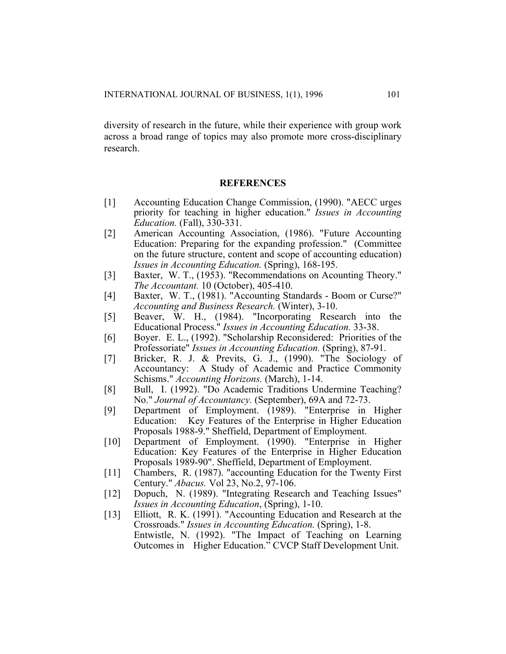diversity of research in the future, while their experience with group work across a broad range of topics may also promote more cross-disciplinary research.

#### **REFERENCES**

- [1] Accounting Education Change Commission, (1990). "AECC urges priority for teaching in higher education." *Issues in Accounting Education.* (Fall), 330-331.
- [2] American Accounting Association, (1986). "Future Accounting Education: Preparing for the expanding profession." (Committee on the future structure, content and scope of accounting education) *Issues in Accounting Education.* (Spring), 168-195.
- [3] Baxter, W. T., (1953). "Recommendations on Acounting Theory." *The Accountant.* 10 (October), 405-410.
- [4] Baxter, W. T., (1981). "Accounting Standards Boom or Curse?" *Accounting and Business Research.* (Winter), 3-10.
- [5] Beaver, W. H., (1984). "Incorporating Research into the Educational Process." *Issues in Accounting Education.* 33-38.
- [6] Boyer. E. L., (1992). "Scholarship Reconsidered: Priorities of the Professoriate" *Issues in Accounting Education.* (Spring), 87-91.
- [7] Bricker, R. J. & Previts, G. J., (1990). "The Sociology of Accountancy: A Study of Academic and Practice Commonity Schisms." *Accounting Horizons.* (March), 1-14.
- [8] Bull, I. (1992). "Do Academic Traditions Undermine Teaching? No." *Journal of Accountancy.* (September), 69A and 72-73.
- [9] Department of Employment. (1989). "Enterprise in Higher Education: Key Features of the Enterprise in Higher Education Proposals 1988-9." Sheffield, Department of Employment.
- [10] Department of Employment. (1990). "Enterprise in Higher Education: Key Features of the Enterprise in Higher Education Proposals 1989-90". Sheffield, Department of Employment.
- [11] Chambers, R. (1987). "accounting Education for the Twenty First Century." *Abacus.* Vol 23, No.2, 97-106.
- [12] Dopuch, N. (1989). "Integrating Research and Teaching Issues" *Issues in Accounting Education*, (Spring), 1-10.
- [13] Elliott, R. K. (1991). "Accounting Education and Research at the Crossroads." *Issues in Accounting Education.* (Spring), 1-8. Entwistle, N. (1992). "The Impact of Teaching on Learning Outcomes in Higher Education." CVCP Staff Development Unit.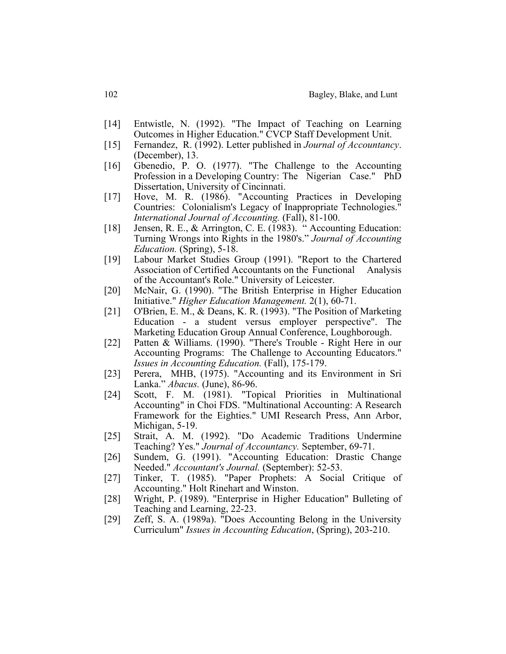- [14] Entwistle, N. (1992). "The Impact of Teaching on Learning Outcomes in Higher Education." CVCP Staff Development Unit.
- [15] Fernandez, R. (1992). Letter published in *Journal of Accountancy*. (December), 13.
- [16] Gbenedio, P. O. (1977). "The Challenge to the Accounting Profession in a Developing Country: The Nigerian Case." PhD Dissertation, University of Cincinnati.
- [17] Hove, M. R. (1986). "Accounting Practices in Developing Countries: Colonialism's Legacy of Inappropriate Technologies." *International Journal of Accounting.* (Fall), 81-100.
- [18] Jensen, R. E., & Arrington, C. E. (1983). "Accounting Education: Turning Wrongs into Rights in the 1980's." *Journal of Accounting Education.* (Spring), 5-18.
- [19] Labour Market Studies Group (1991). "Report to the Chartered Association of Certified Accountants on the Functional Analysis of the Accountant's Role." University of Leicester.
- [20] McNair, G. (1990). "The British Enterprise in Higher Education Initiative." *Higher Education Management.* 2(1), 60-71.
- [21] O'Brien, E. M., & Deans, K. R. (1993). "The Position of Marketing Education - a student versus employer perspective". The Marketing Education Group Annual Conference, Loughborough.
- [22] Patten & Williams. (1990). "There's Trouble Right Here in our Accounting Programs: The Challenge to Accounting Educators." *Issues in Accounting Education.* (Fall), 175-179.
- [23] Perera, MHB, (1975). "Accounting and its Environment in Sri Lanka." *Abacus.* (June), 86-96.
- [24] Scott, F. M. (1981). "Topical Priorities in Multinational Accounting" in Choi FDS. "Multinational Accounting: A Research Framework for the Eighties." UMI Research Press, Ann Arbor, Michigan, 5-19.
- [25] Strait, A. M. (1992). "Do Academic Traditions Undermine Teaching? Yes." *Journal of Accountancy.* September, 69-71.
- [26] Sundem, G. (1991). "Accounting Education: Drastic Change Needed." *Accountant's Journal.* (September): 52-53.
- [27] Tinker, T. (1985). "Paper Prophets: A Social Critique of Accounting." Holt Rinehart and Winston.
- [28] Wright, P. (1989). "Enterprise in Higher Education" Bulleting of Teaching and Learning, 22-23.
- [29] Zeff, S. A. (1989a). "Does Accounting Belong in the University Curriculum" *Issues in Accounting Education*, (Spring), 203-210.